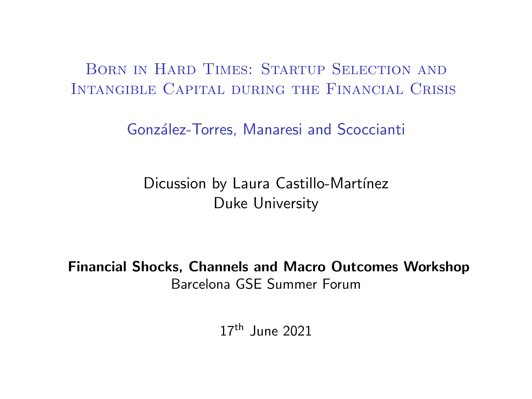Born in Hard Times: Startup Selection and Intangible Capital during the Financial Crisis

González-Torres, Manaresi and Scoccianti

Dicussion by Laura Castillo-Martínez Duke University

Financial Shocks, Channels and Macro Outcomes Workshop Barcelona GSE Summer Forum

 $17<sup>th</sup>$  June 2021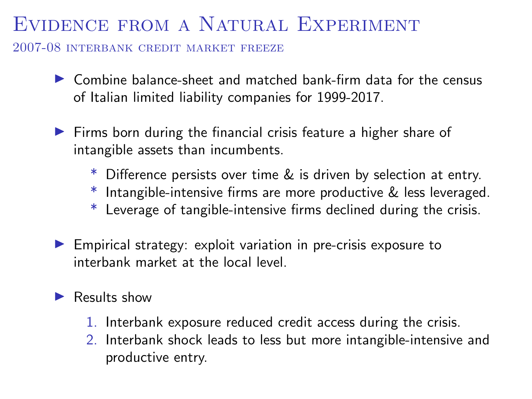### Evidence from a Natural Experiment

2007-08 interbank credit market freeze

- $\triangleright$  Combine balance-sheet and matched bank-firm data for the census of Italian limited liability companies for 1999-2017.
- $\blacktriangleright$  Firms born during the financial crisis feature a higher share of intangible assets than incumbents.
	- \* Difference persists over time & is driven by selection at entry.
	- \* Intangible-intensive firms are more productive & less leveraged.
	- \* Leverage of tangible-intensive firms declined during the crisis.
- $\blacktriangleright$  Empirical strategy: exploit variation in pre-crisis exposure to interbank market at the local level.

#### $\blacktriangleright$  Results show

- 1. Interbank exposure reduced credit access during the crisis.
- 2. Interbank shock leads to less but more intangible-intensive and productive entry.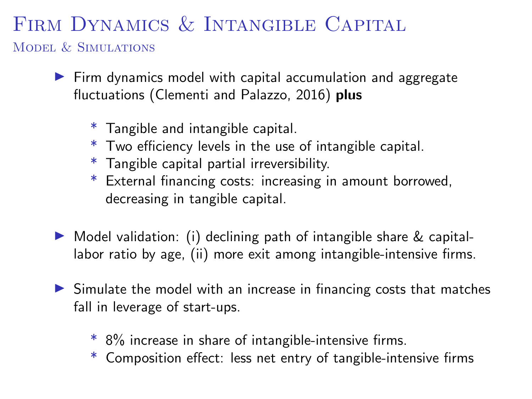# FIRM DYNAMICS & INTANGIBLE CAPITAL

Model & Simulations

- $\blacktriangleright$  Firm dynamics model with capital accumulation and aggregate fluctuations (Clementi and Palazzo, 2016) plus
	- \* Tangible and intangible capital.
	- \* Two efficiency levels in the use of intangible capital.
	- \* Tangible capital partial irreversibility.
	- \* External financing costs: increasing in amount borrowed, decreasing in tangible capital.
- $\triangleright$  Model validation: (i) declining path of intangible share & capitallabor ratio by age, (ii) more exit among intangible-intensive firms.
- $\triangleright$  Simulate the model with an increase in financing costs that matches fall in leverage of start-ups.
	- \* 8% increase in share of intangible-intensive firms.
	- \* Composition effect: less net entry of tangible-intensive firms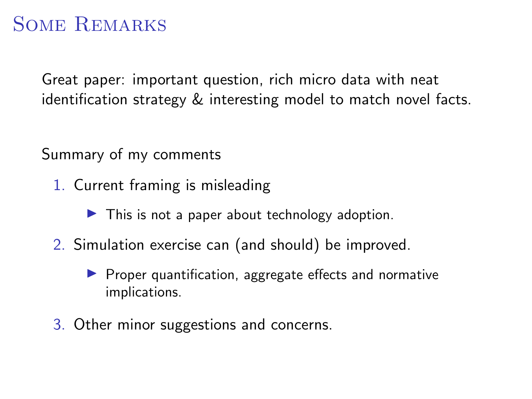# Some Remarks

Great paper: important question, rich micro data with neat identification strategy & interesting model to match novel facts.

Summary of my comments

- 1. Current framing is misleading
	- $\blacktriangleright$  This is not a paper about technology adoption.
- 2. Simulation exercise can (and should) be improved.
	- $\blacktriangleright$  Proper quantification, aggregate effects and normative implications.
- 3. Other minor suggestions and concerns.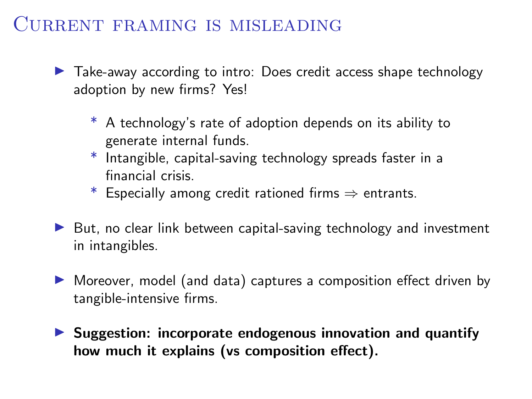#### Current framing is misleading

 $\blacktriangleright$  Take-away according to intro: Does credit access shape technology adoption by new firms? Yes!

- \* A technology's rate of adoption depends on its ability to generate internal funds.
- \* Intangible, capital-saving technology spreads faster in a financial crisis.
- \* Especially among credit rationed firms  $\Rightarrow$  entrants.
- $\triangleright$  But, no clear link between capital-saving technology and investment in intangibles.
- ▶ Moreover, model (and data) captures a composition effect driven by tangible-intensive firms.
- $\triangleright$  Suggestion: incorporate endogenous innovation and quantify how much it explains (vs composition effect).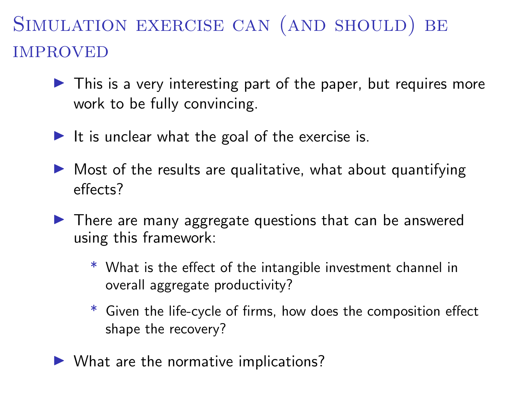# Simulation exercise can (and should) be **IMPROVED**

- $\blacktriangleright$  This is a very interesting part of the paper, but requires more work to be fully convincing.
- It is unclear what the goal of the exercise is.
- $\triangleright$  Most of the results are qualitative, what about quantifying effects?
- $\blacktriangleright$  There are many aggregate questions that can be answered using this framework:
	- \* What is the effect of the intangible investment channel in overall aggregate productivity?
	- \* Given the life-cycle of firms, how does the composition effect shape the recovery?
- $\blacktriangleright$  What are the normative implications?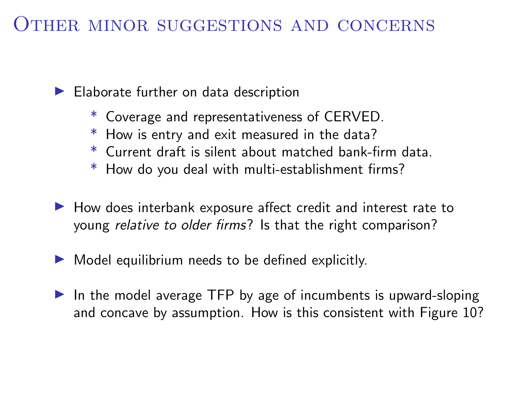#### Other minor suggestions and concerns

 $\blacktriangleright$  Elaborate further on data description

- \* Coverage and representativeness of CERVED.
- \* How is entry and exit measured in the data?
- \* Current draft is silent about matched bank-firm data.
- \* How do you deal with multi-establishment firms?
- $\blacktriangleright$  How does interbank exposure affect credit and interest rate to young relative to older firms? Is that the right comparison?
- $\blacktriangleright$  Model equilibrium needs to be defined explicitly.
- $\blacktriangleright$  In the model average TFP by age of incumbents is upward-sloping and concave by assumption. How is this consistent with Figure 10?